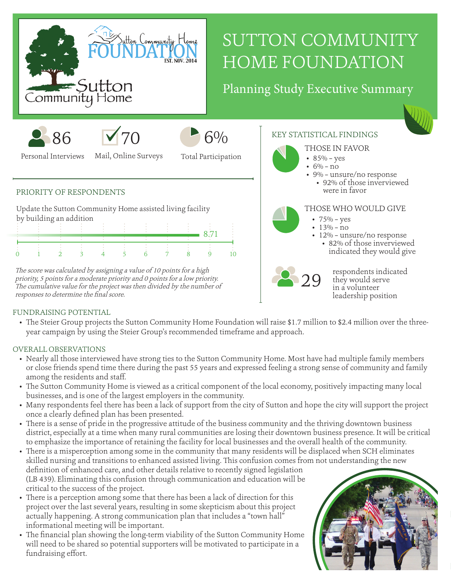

# SUTTON COMMUNITY HOME FOUNDATION

## Planning Study Executive Summary







Personal Interviews

Mail, Online Surveys

Total Participation

#### PRIORITY OF RESPONDENTS

Update the Sutton Community Home assisted living facility by building an addition

The score was calculated by assigning a value of 10 points for a high priority, 5 points for a moderate priority and 0 points for a low priority. The cumulative value for the project was then divided by the number of responses to determine the final score.



### $6\%$  KEY STATISTICAL FINDINGS



- 
- 9% unsure/no response • 92% of those inverviewed were in favor

#### THOSE WHO WOULD GIVE

- $75% yes$
- $\cdot$  13% no
- 12% unsure/no response
	- 82% of those inverviewed indicated they would give



respondents indicated they would serve in a volunteer leadership position

#### FUNDRAISING POTENTIAL

• The Steier Group projects the Sutton Community Home Foundation will raise \$1.7 million to \$2.4 million over the threeyear campaign by using the Steier Group's recommended timeframe and approach.

#### OVERALL OBSERVATIONS

- Nearly all those interviewed have strong ties to the Sutton Community Home. Most have had multiple family members or close friends spend time there during the past 55 years and expressed feeling a strong sense of community and family among the residents and staff.
- The Sutton Community Home is viewed as a critical component of the local economy, positively impacting many local businesses, and is one of the largest employers in the community.
- Many respondents feel there has been a lack of support from the city of Sutton and hope the city will support the project once a clearly defined plan has been presented.
- There is a sense of pride in the progressive attitude of the business community and the thriving downtown business district, especially at a time when many rural communities are losing their downtown business presence. It will be critical to emphasize the importance of retaining the facility for local businesses and the overall health of the community.
- There is a misperception among some in the community that many residents will be displaced when SCH eliminates skilled nursing and transitions to enhanced assisted living. This confusion comes from not understanding the new definition of enhanced care, and other details relative to recently signed legislation (LB 439). Eliminating this confusion through communication and education will be
- critical to the success of the project. • There is a perception among some that there has been a lack of direction for this project over the last several years, resulting in some skepticism about this project actually happening. A strong communication plan that includes a "town hall" informational meeting will be important.
- The financial plan showing the long-term viability of the Sutton Community Home will need to be shared so potential supporters will be motivated to participate in a fundraising effort.